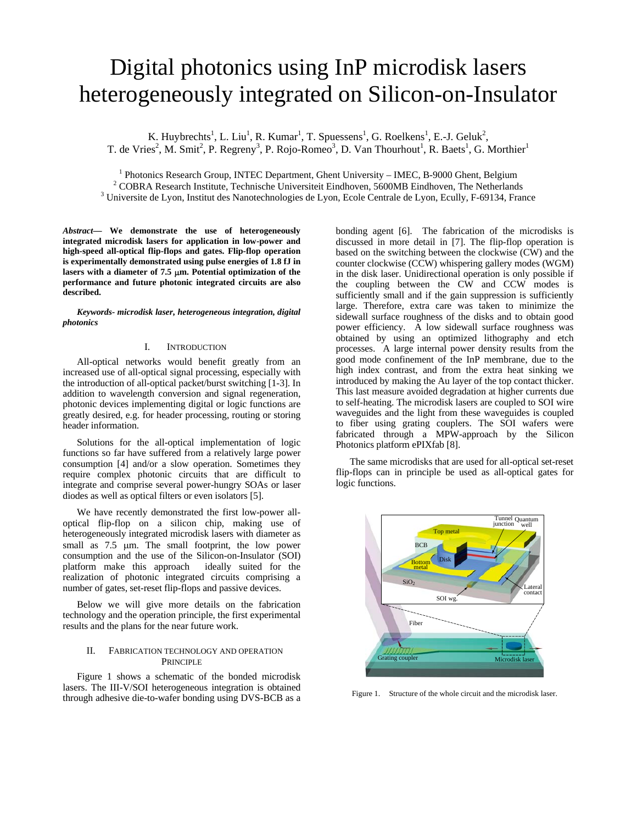# Digital photonics using InP microdisk lasers heterogeneously integrated on Silicon-on-Insulator

K. Huybrechts<sup>1</sup>, L. Liu<sup>1</sup>, R. Kumar<sup>1</sup>, T. Spuessens<sup>1</sup>, G. Roelkens<sup>1</sup>, E.-J. Geluk<sup>2</sup>, T. de Vries<sup>2</sup>, M. Smit<sup>2</sup>, P. Regreny<sup>3</sup>, P. Rojo-Romeo<sup>3</sup>, D. Van Thourhout<sup>1</sup>, R. Baets<sup>1</sup>, G. Morthier<sup>1</sup>

<sup>1</sup> Photonics Research Group, INTEC Department, Ghent University – IMEC, B-9000 Ghent, Belgium  $\frac{2}{5}$ COPP A Bessereh Institute, Technische Universiteit Eindhoven, 5600MP Eindhoven, The Netherland  $2$  COBRA Research Institute, Technische Universiteit Eindhoven, 5600MB Eindhoven, The Netherlands <sup>3</sup> Universite de Lyon, Institut des Nanotechnologies de Lyon, Ecole Centrale de Lyon, Ecully, F-69134, France

*Abstract***— We demonstrate the use of heterogeneously integrated microdisk lasers for application in low-power and high-speed all-optical flip-flops and gates. Flip-flop operation is experimentally demonstrated using pulse energies of 1.8 fJ in lasers with a diameter of 7.5** µ**m. Potential optimization of the performance and future photonic integrated circuits are also described.** 

*Keywords- microdisk laser, heterogeneous integration, digital photonics* 

### I. INTRODUCTION

All-optical networks would benefit greatly from an increased use of all-optical signal processing, especially with the introduction of all-optical packet/burst switching [1-3]. In addition to wavelength conversion and signal regeneration, photonic devices implementing digital or logic functions are greatly desired, e.g. for header processing, routing or storing header information.

Solutions for the all-optical implementation of logic functions so far have suffered from a relatively large power consumption [4] and/or a slow operation. Sometimes they require complex photonic circuits that are difficult to integrate and comprise several power-hungry SOAs or laser diodes as well as optical filters or even isolators [5].

We have recently demonstrated the first low-power alloptical flip-flop on a silicon chip, making use of heterogeneously integrated microdisk lasers with diameter as small as 7.5  $\mu$ m. The small footprint, the low power consumption and the use of the Silicon-on-Insulator (SOI) platform make this approach ideally suited for the realization of photonic integrated circuits comprising a number of gates, set-reset flip-flops and passive devices.

Below we will give more details on the fabrication technology and the operation principle, the first experimental results and the plans for the near future work.

# II. FABRICATION TECHNOLOGY AND OPERATION **PRINCIPLE**

Figure 1 shows a schematic of the bonded microdisk lasers. The III-V/SOI heterogeneous integration is obtained through adhesive die-to-wafer bonding using DVS-BCB as a bonding agent [6]. The fabrication of the microdisks is discussed in more detail in [7]. The flip-flop operation is based on the switching between the clockwise (CW) and the counter clockwise (CCW) whispering gallery modes (WGM) in the disk laser. Unidirectional operation is only possible if the coupling between the CW and CCW modes is sufficiently small and if the gain suppression is sufficiently large. Therefore, extra care was taken to minimize the sidewall surface roughness of the disks and to obtain good power efficiency. A low sidewall surface roughness was obtained by using an optimized lithography and etch processes. A large internal power density results from the good mode confinement of the InP membrane, due to the high index contrast, and from the extra heat sinking we introduced by making the Au layer of the top contact thicker. This last measure avoided degradation at higher currents due to self-heating. The microdisk lasers are coupled to SOI wire waveguides and the light from these waveguides is coupled to fiber using grating couplers. The SOI wafers were fabricated through a MPW-approach by the Silicon Photonics platform ePIXfab [8].

The same microdisks that are used for all-optical set-reset flip-flops can in principle be used as all-optical gates for logic functions.



Figure 1. Structure of the whole circuit and the microdisk laser.